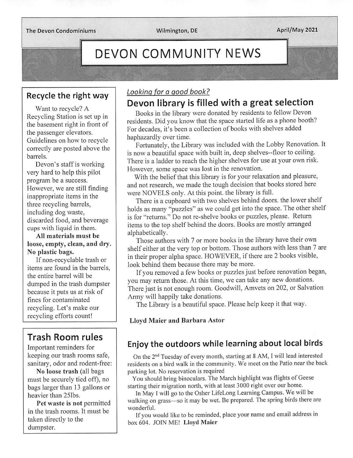The Devon Condominiums Wilmington, DE April/May 2021

# DEVON COMMUNITY NEWS

#### Recycle the right way

Want to recycle? A Recycling Station is set up in the basement right in front of the passenger elevators. Guidelines on how to recycle correctly are posted above the barrels.

Devon's staff is working very hard to help this pilot program be a success. However, we are still finding inappropriate items in the three recycling barrels, including dog waste, discarded food, and beverage cups with liquid in them.

All materials must be loose, empty, clean, and dry. No plastic bags.

If non-recyclable trash or items are found in the barrels, the entire barrel will be dumped in the trash dumpster because it puts us at risk of fines for contaminated recycling. Let's make our recycling efforts count!

# Trash Room rules

Important reminders for keeping our trash rooms safe, sanitary, odor and rodent-free:

No loose trash (all bags must be securely tied off), no bags larger than 13 gallons or heavier than 251bs.

Pet waste is not permitted in the trash rooms. It must be taken directly to the dumpster.

#### Looking for a good book?

### Devon library is filled with a great selection

Books in the library were donated by residents to fellow Devon residents. Did you know that the space started life as a phone booth? For decades, it's been a collection of books with shelves added haphazardly over time.

Fortunately, the Library was included with the Lobby Renovation. It is now a beautiful space with built in, deep shelves—floor to ceiling. There is a ladder to reach the higher shelves for use at your own risk. However, some space was lost in the renovation.

With the belief that this library is for your relaxation and pleasure, and not research, we made the tough decision that books stored here were NOVELS only. At this point, the library is full.

There is a cupboard with two shelves behind doors, the lower shelf holds as many "puzzles" as we could get into the space. The other shelf is for "returns." Do not re-shelve books or puzzles, please. Return items to the top shelf behind the doors. Books are mostly arranged alphabetically.

Those authors with 7 or more books in the library have their own shelf either at the very top or bottom. Those authors with less than 7 are in their proper alpha space. HOWEVER, if there are 2 books visible, look behind them because there may be more.

If you removed a few books or puzzles just before renovation began, you may return those. At this time, we can take any new donations. There just is not enough room. Goodwill, Amvets on 202, or Salvation Army will happily take donations.

The Library is a beautiful space. Please help keep it that way.

Lloyd Maier and Barbara Astor

#### Enjoy the outdoors while learning about local birds

On the 2<sup>nd</sup> Tuesday of every month, starting at 8 AM, I will lead interested residents on a bird walk in the community. We meet on the Patio near the back parking lot. No reservation is required

You should bring binoculars. The March highlight was flights of Geese starting their migration north, with at least 3000 right over our home.

In May I will go to the Osher LifeLong Learning Campus. We will be walking on grass-so it may be wet. Be prepared. The spring birds there are wonderful.

If you would like to be reminded, place your name and email address in box 604. JOIN ME! Lloyd Maier